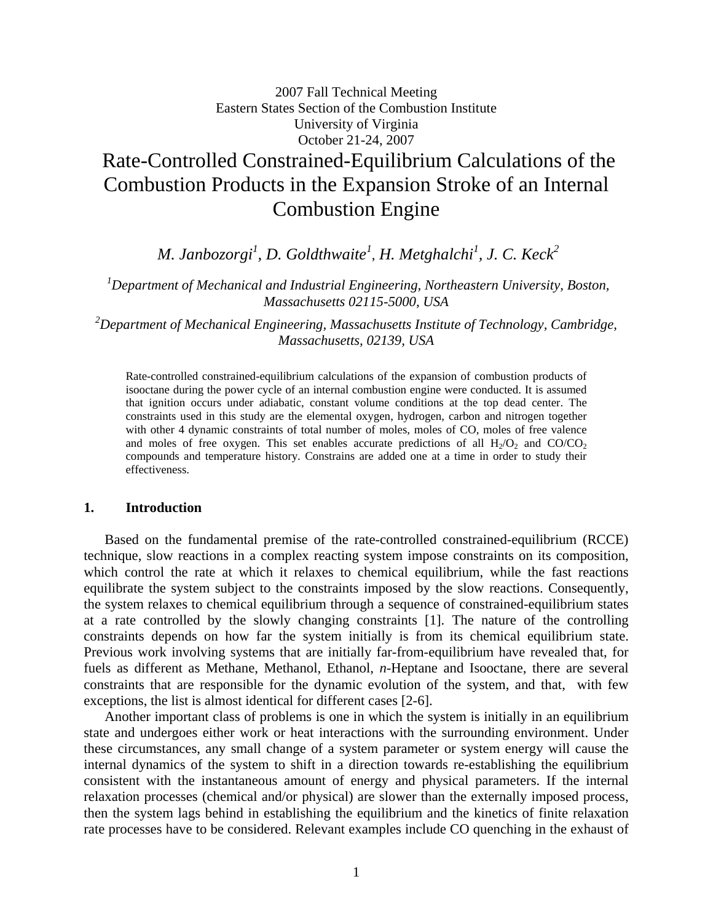# 2007 Fall Technical Meeting Eastern States Section of the Combustion Institute University of Virginia October 21-24, 2007 Rate-Controlled Constrained-Equilibrium Calculations of the Combustion Products in the Expansion Stroke of an Internal Combustion Engine

*M. Janbozorgi1 , D. Goldthwaite<sup>1</sup>* , *H. Metghalchi<sup>1</sup> , J. C. Keck2*

*1 Department of Mechanical and Industrial Engineering, Northeastern University, Boston, Massachusetts 02115-5000, USA* 

*2 Department of Mechanical Engineering, Massachusetts Institute of Technology, Cambridge, Massachusetts, 02139, USA* 

Rate-controlled constrained-equilibrium calculations of the expansion of combustion products of isooctane during the power cycle of an internal combustion engine were conducted. It is assumed that ignition occurs under adiabatic, constant volume conditions at the top dead center. The constraints used in this study are the elemental oxygen, hydrogen, carbon and nitrogen together with other 4 dynamic constraints of total number of moles, moles of CO, moles of free valence and moles of free oxygen. This set enables accurate predictions of all  $H_2/O_2$  and  $CO/CO_2$ compounds and temperature history. Constrains are added one at a time in order to study their effectiveness.

## **1. Introduction**

 Based on the fundamental premise of the rate-controlled constrained-equilibrium (RCCE) technique, slow reactions in a complex reacting system impose constraints on its composition, which control the rate at which it relaxes to chemical equilibrium, while the fast reactions equilibrate the system subject to the constraints imposed by the slow reactions. Consequently, the system relaxes to chemical equilibrium through a sequence of constrained-equilibrium states at a rate controlled by the slowly changing constraints [1]. The nature of the controlling constraints depends on how far the system initially is from its chemical equilibrium state. Previous work involving systems that are initially far-from-equilibrium have revealed that, for fuels as different as Methane, Methanol, Ethanol, *n*-Heptane and Isooctane, there are several constraints that are responsible for the dynamic evolution of the system, and that, with few exceptions, the list is almost identical for different cases [2-6].

 Another important class of problems is one in which the system is initially in an equilibrium state and undergoes either work or heat interactions with the surrounding environment. Under these circumstances, any small change of a system parameter or system energy will cause the internal dynamics of the system to shift in a direction towards re-establishing the equilibrium consistent with the instantaneous amount of energy and physical parameters. If the internal relaxation processes (chemical and/or physical) are slower than the externally imposed process, then the system lags behind in establishing the equilibrium and the kinetics of finite relaxation rate processes have to be considered. Relevant examples include CO quenching in the exhaust of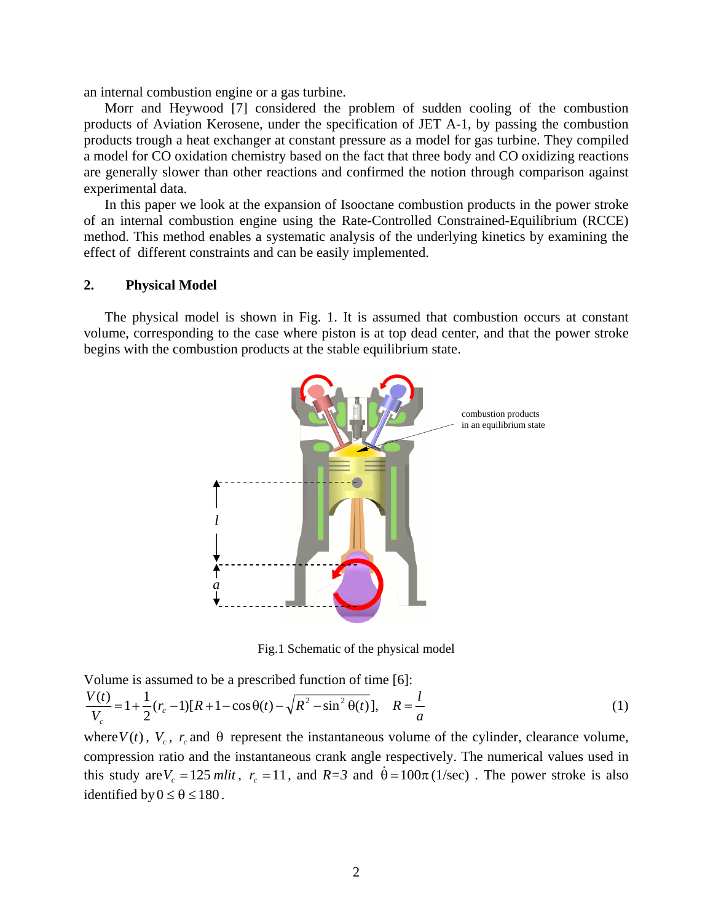an internal combustion engine or a gas turbine.

 Morr and Heywood [7] considered the problem of sudden cooling of the combustion products of Aviation Kerosene, under the specification of JET A-1, by passing the combustion products trough a heat exchanger at constant pressure as a model for gas turbine. They compiled a model for CO oxidation chemistry based on the fact that three body and CO oxidizing reactions are generally slower than other reactions and confirmed the notion through comparison against experimental data.

 In this paper we look at the expansion of Isooctane combustion products in the power stroke of an internal combustion engine using the Rate-Controlled Constrained-Equilibrium (RCCE) method. This method enables a systematic analysis of the underlying kinetics by examining the effect of different constraints and can be easily implemented.

## **2. Physical Model**

 The physical model is shown in Fig. 1. It is assumed that combustion occurs at constant volume, corresponding to the case where piston is at top dead center, and that the power stroke begins with the combustion products at the stable equilibrium state.



Fig.1 Schematic of the physical model

Volume is assumed to be a prescribed function of time [6]: *a*  $r_c$  -1)[ $R$  +1 - cos  $\theta$ (t) -  $\sqrt{R^2 - \sin^2 \theta(t)}$ ],  $R = \frac{R}{R}$ *V V t c*  $\frac{(t)}{r_c} = 1 + \frac{1}{2} (r_c - 1) [R + 1 - \cos \theta(t) - \sqrt{R^2 - \sin^2 \theta(t)}], \quad R = \frac{l}{a}$  (1)

where  $V(t)$ ,  $V_c$ ,  $r_c$  and  $\theta$  represent the instantaneous volume of the cylinder, clearance volume, compression ratio and the instantaneous crank angle respectively. The numerical values used in this study are  $V_c = 125$  mlit,  $r_c = 11$ , and  $R=3$  and  $\dot{\theta} = 100\pi (1/\text{sec})$ . The power stroke is also identified by  $0 \le \theta \le 180$ .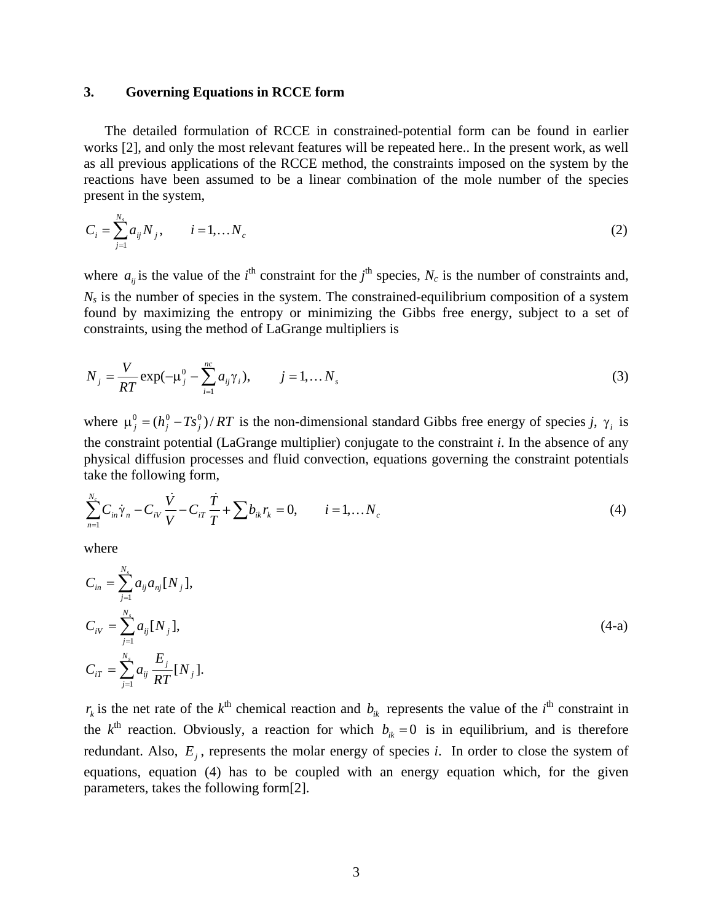## **3. Governing Equations in RCCE form**

 The detailed formulation of RCCE in constrained-potential form can be found in earlier works [2], and only the most relevant features will be repeated here.. In the present work, as well as all previous applications of the RCCE method, the constraints imposed on the system by the reactions have been assumed to be a linear combination of the mole number of the species present in the system,

$$
C_i = \sum_{j=1}^{N_s} a_{ij} N_j, \qquad i = 1, \dots N_c
$$
 (2)

where  $a_{ij}$  is the value of the *i*<sup>th</sup> constraint for the *j*<sup>th</sup> species,  $N_c$  is the number of constraints and,  $N<sub>s</sub>$  is the number of species in the system. The constrained-equilibrium composition of a system found by maximizing the entropy or minimizing the Gibbs free energy, subject to a set of constraints, using the method of LaGrange multipliers is

$$
N_{j} = \frac{V}{RT} \exp(-\mu_{j}^{0} - \sum_{i=1}^{nc} a_{ij} \gamma_{i}), \qquad j = 1,... N_{s}
$$
 (3)

where  $\mu_j^0 = (h_j^0 - Ts_j^0) / RT$  is the non-dimensional standard Gibbs free energy of species *j*,  $\gamma_i$  is the constraint potential (LaGrange multiplier) conjugate to the constraint *i*. In the absence of any physical diffusion processes and fluid convection, equations governing the constraint potentials take the following form,

$$
\sum_{n=1}^{N_c} C_{in} \dot{\gamma}_n - C_{iV} \frac{\dot{V}}{V} - C_{iT} \frac{\dot{T}}{T} + \sum b_{ik} r_k = 0, \qquad i = 1,...N_c
$$
\n(4)

where

$$
C_{in} = \sum_{j=1}^{N_s} a_{ij} a_{nj} [N_j],
$$
  
\n
$$
C_{iV} = \sum_{j=1}^{N_s} a_{ij} [N_j],
$$
  
\n
$$
C_{iT} = \sum_{j=1}^{N_s} a_{ij} \frac{E_j}{RT} [N_j].
$$
\n(4-a)

 $r_k$  is the net rate of the  $k^{\text{th}}$  chemical reaction and  $b_{ik}$  represents the value of the *i*<sup>th</sup> constraint in the  $k^{\text{th}}$  reaction. Obviously, a reaction for which  $b_{ik} = 0$  is in equilibrium, and is therefore redundant. Also,  $E_i$ , represents the molar energy of species *i*. In order to close the system of equations, equation (4) has to be coupled with an energy equation which, for the given parameters, takes the following form[2].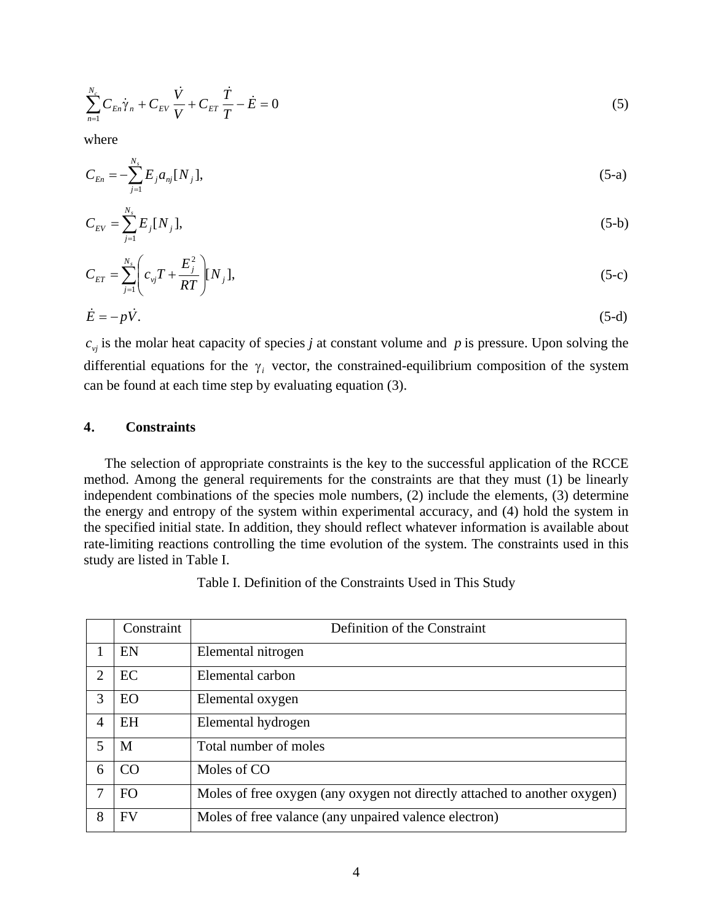$$
\sum_{n=1}^{N_c} C_{En} \dot{\gamma}_n + C_{EV} \frac{\dot{V}}{V} + C_{ET} \frac{\dot{T}}{T} - \dot{E} = 0
$$
\n(5)

where

$$
C_{En} = -\sum_{j=1}^{N_s} E_j a_{nj} [N_j], \tag{5-a}
$$

$$
C_{EV} = \sum_{j=1}^{N_s} E_j [N_j], \tag{5-b}
$$

$$
C_{ET} = \sum_{j=1}^{N_s} \left( c_{vj} T + \frac{E_j^2}{RT} \right) [N_j],
$$
 (5-c)

$$
\dot{E} = -p\dot{V}.\tag{5-d}
$$

 $c_{vi}$  is the molar heat capacity of species *j* at constant volume and *p* is pressure. Upon solving the differential equations for the  $\gamma_i$  vector, the constrained-equilibrium composition of the system can be found at each time step by evaluating equation (3).

## **4**. **Constraints**

 The selection of appropriate constraints is the key to the successful application of the RCCE method. Among the general requirements for the constraints are that they must (1) be linearly independent combinations of the species mole numbers, (2) include the elements, (3) determine the energy and entropy of the system within experimental accuracy, and (4) hold the system in the specified initial state. In addition, they should reflect whatever information is available about rate-limiting reactions controlling the time evolution of the system. The constraints used in this study are listed in Table I.

|                             | Constraint     | Definition of the Constraint                                              |  |  |  |  |  |  |
|-----------------------------|----------------|---------------------------------------------------------------------------|--|--|--|--|--|--|
|                             | EN             | Elemental nitrogen                                                        |  |  |  |  |  |  |
| $\mathcal{D}_{\mathcal{L}}$ | EC             | Elemental carbon                                                          |  |  |  |  |  |  |
| 3                           | <b>EO</b>      | Elemental oxygen                                                          |  |  |  |  |  |  |
| $\overline{4}$              | <b>EH</b>      | Elemental hydrogen                                                        |  |  |  |  |  |  |
| 5                           | M              | Total number of moles                                                     |  |  |  |  |  |  |
| 6                           | CO             | Moles of CO                                                               |  |  |  |  |  |  |
| 7                           | F <sub>O</sub> | Moles of free oxygen (any oxygen not directly attached to another oxygen) |  |  |  |  |  |  |
| 8                           | <b>FV</b>      | Moles of free valance (any unpaired valence electron)                     |  |  |  |  |  |  |

Table I. Definition of the Constraints Used in This Study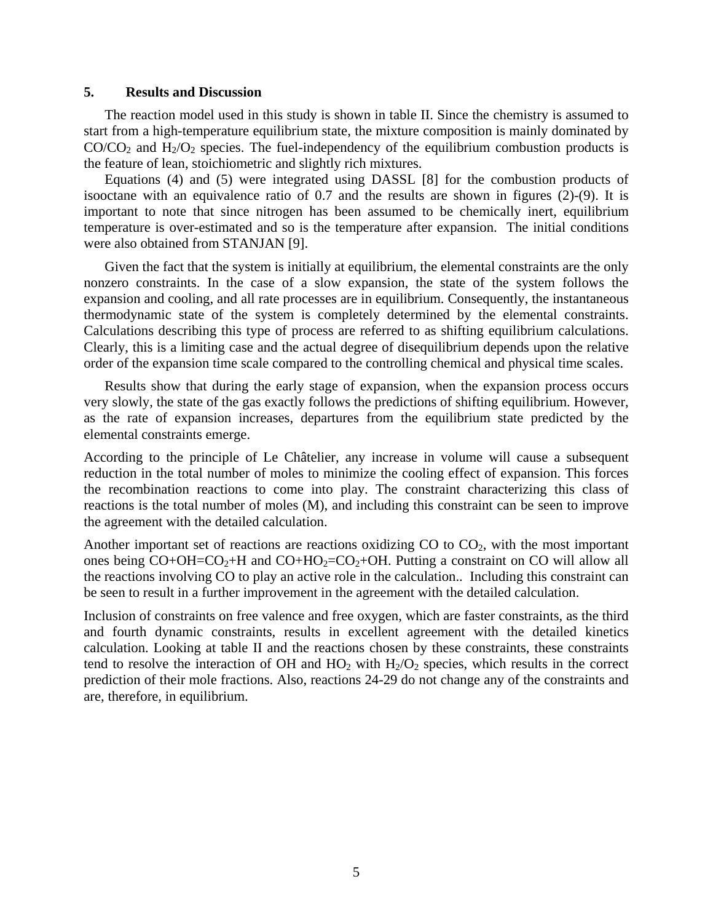## **5. Results and Discussion**

 The reaction model used in this study is shown in table II. Since the chemistry is assumed to start from a high-temperature equilibrium state, the mixture composition is mainly dominated by  $CO/CO<sub>2</sub>$  and  $H<sub>2</sub>/O<sub>2</sub>$  species. The fuel-independency of the equilibrium combustion products is the feature of lean, stoichiometric and slightly rich mixtures.

 Equations (4) and (5) were integrated using DASSL [8] for the combustion products of isooctane with an equivalence ratio of 0.7 and the results are shown in figures (2)-(9). It is important to note that since nitrogen has been assumed to be chemically inert, equilibrium temperature is over-estimated and so is the temperature after expansion. The initial conditions were also obtained from STANJAN [9].

 Given the fact that the system is initially at equilibrium, the elemental constraints are the only nonzero constraints. In the case of a slow expansion, the state of the system follows the expansion and cooling, and all rate processes are in equilibrium. Consequently, the instantaneous thermodynamic state of the system is completely determined by the elemental constraints. Calculations describing this type of process are referred to as shifting equilibrium calculations. Clearly, this is a limiting case and the actual degree of disequilibrium depends upon the relative order of the expansion time scale compared to the controlling chemical and physical time scales.

 Results show that during the early stage of expansion, when the expansion process occurs very slowly, the state of the gas exactly follows the predictions of shifting equilibrium. However, as the rate of expansion increases, departures from the equilibrium state predicted by the elemental constraints emerge.

According to the principle of Le Châtelier, any increase in volume will cause a subsequent reduction in the total number of moles to minimize the cooling effect of expansion. This forces the recombination reactions to come into play. The constraint characterizing this class of reactions is the total number of moles (M), and including this constraint can be seen to improve the agreement with the detailed calculation.

Another important set of reactions are reactions oxidizing  $CO$  to  $CO<sub>2</sub>$ , with the most important ones being  $CO+OH=CO<sub>2</sub>+H$  and  $CO+HO<sub>2</sub>=CO<sub>2</sub>+OH$ . Putting a constraint on CO will allow all the reactions involving CO to play an active role in the calculation.. Including this constraint can be seen to result in a further improvement in the agreement with the detailed calculation.

Inclusion of constraints on free valence and free oxygen, which are faster constraints, as the third and fourth dynamic constraints, results in excellent agreement with the detailed kinetics calculation. Looking at table II and the reactions chosen by these constraints, these constraints tend to resolve the interaction of OH and  $HO_2$  with  $H_2/O_2$  species, which results in the correct prediction of their mole fractions. Also, reactions 24-29 do not change any of the constraints and are, therefore, in equilibrium.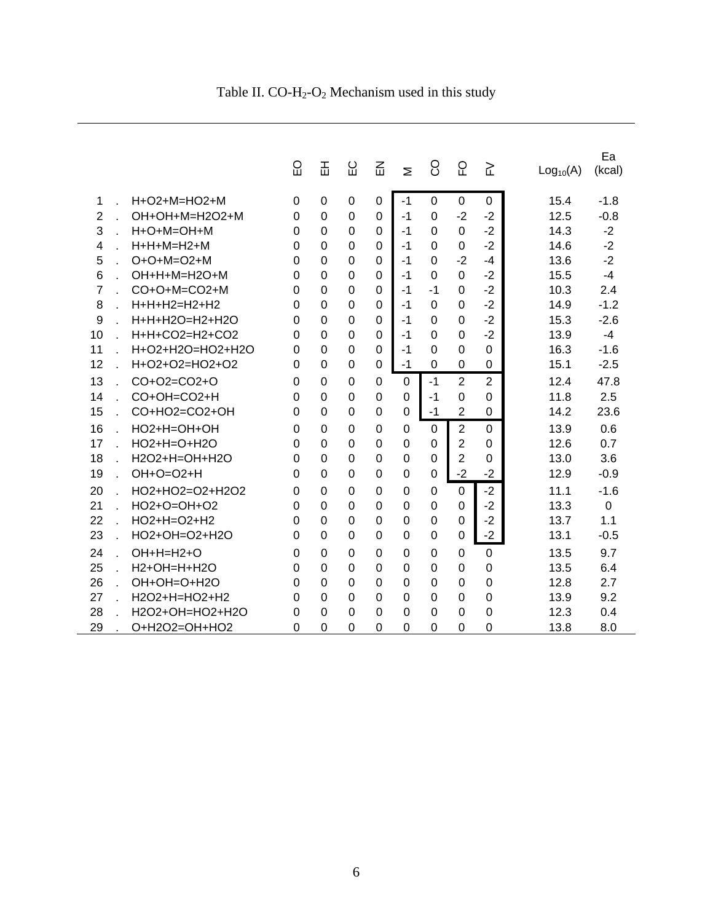Table II.  $CO-H_2-O_2$  Mechanism used in this study

|                |                            | ပ္ပ      | 盂              | ပ္မ            | 옶              | Σ              | 8           | 요              | 깉              | Log <sub>10</sub> (A) | Ea<br>(kcal) |
|----------------|----------------------------|----------|----------------|----------------|----------------|----------------|-------------|----------------|----------------|-----------------------|--------------|
| 1              | H+O2+M=HO2+M               | 0        | $\Omega$       | 0              | 0              | -1             | $\Omega$    | $\Omega$       | 0              | 15.4                  | $-1.8$       |
| $\overline{2}$ | OH+OH+M=H2O2+M             | $\Omega$ | $\Omega$       | 0              | 0              | $-1$           | $\Omega$    | $-2$           | $-2$           | 12.5                  | $-0.8$       |
| 3              | H+O+M=OH+M                 | 0        | $\Omega$       | $\Omega$       | 0              | -1             | 0           | $\Omega$       | $-2$           | 14.3                  | $-2$         |
| 4              | H+H+M=H2+M                 | 0        | 0              | $\Omega$       | 0              | -1             | 0           | 0              | $-2$           | 14.6                  | $-2$         |
| 5              | $O + O + M = O2 + M$       | 0        | $\Omega$       | 0              | 0              | $-1$           | $\Omega$    | $-2$           | -4             | 13.6                  | $-2$         |
| 6              | OH+H+M=H2O+M               | 0        | $\Omega$       | 0              | 0              | $-1$           | $\Omega$    | $\Omega$       | $-2$           | 15.5                  | $-4$         |
| 7              | $CO+O+M=CO2+M$             | 0        | $\Omega$       | 0              | 0              | -1             | -1          | 0              | $-2$           | 10.3                  | 2.4          |
| 8              | H+H+H2=H2+H2               | 0        | $\Omega$       | 0              | 0              | $-1$           | $\Omega$    | 0              | $-2$           | 14.9                  | $-1.2$       |
| 9              | H+H+H2O=H2+H2O             | 0        | $\Omega$       | 0              | 0              | $-1$           | 0           | 0              | $-2$           | 15.3                  | $-2.6$       |
| 10             | H+H+CO2=H2+CO2             | 0        | $\mathbf 0$    | $\overline{0}$ | 0              | $-1$           | 0           | $\Omega$       | $-2$           | 13.9                  | $-4$         |
| 11             | $H + O2 + H2O = HO2 + H2O$ | 0        | $\Omega$       | 0              | 0              | -1             | 0           | 0              | $\Omega$       | 16.3                  | $-1.6$       |
| 12             | H+O2+O2=HO2+O2             | 0        | $\Omega$       | 0              | 0              | $-1$           | 0           | 0              | 0              | 15.1                  | $-2.5$       |
| 13             | CO+O2=CO2+O                | 0        | $\Omega$       | 0              | 0              | $\Omega$       | $-1$        | $\overline{2}$ | $\overline{2}$ | 12.4                  | 47.8         |
| 14             | CO+OH=CO2+H                | 0        | $\Omega$       | 0              | 0              | $\Omega$       | $-1$        | 0              | $\Omega$       | 11.8                  | 2.5          |
| 15             | CO+HO2=CO2+OH              | 0        | $\Omega$       | $\Omega$       | $\Omega$       | $\Omega$       | $-1$        | $\overline{2}$ | $\Omega$       | 14.2                  | 23.6         |
| 16             | $HO2+H=OH+OH$              | 0        | $\Omega$       | 0              | 0              | $\Omega$       | 0           | $\overline{2}$ | $\Omega$       | 13.9                  | 0.6          |
| 17             | $HO2+H=O+H2O$              | 0        | $\Omega$       | 0              | 0              | $\Omega$       | $\Omega$    | $\overline{2}$ | $\Omega$       | 12.6                  | 0.7          |
| 18             | H2O2+H=OH+H2O              | 0        | $\Omega$       | 0              | 0              | $\Omega$       | 0           | 2              | $\Omega$       | 13.0                  | 3.6          |
| 19             | OH+O=O2+H                  | 0        | $\overline{0}$ | 0              | 0              | $\overline{0}$ | $\mathbf 0$ | $-2$           | $-2$           | 12.9                  | $-0.9$       |
| 20             | HO2+HO2=O2+H2O2            | 0        | $\Omega$       | 0              | $\Omega$       | $\Omega$       | $\Omega$    | $\Omega$       | $-2$           | 11.1                  | $-1.6$       |
| 21             | HO2+O=OH+O2                | 0        | $\Omega$       | 0              | 0              | $\overline{0}$ | $\Omega$    | 0              | $-2$           | 13.3                  | $\Omega$     |
| 22             | HO2+H=O2+H2                | 0        | $\Omega$       | $\overline{0}$ | $\overline{0}$ | $\overline{0}$ | $\mathbf 0$ | $\Omega$       | $-2$           | 13.7                  | 1.1          |
| 23             | HO2+OH=O2+H2O              | 0        | $\Omega$       | $\Omega$       | 0              | $\Omega$       | $\Omega$    | 0              | $-2$           | 13.1                  | $-0.5$       |
| 24             | $OH+H=H2+O$                | 0        | $\mathbf 0$    | 0              | 0              | $\Omega$       | $\mathbf 0$ | $\Omega$       | $\overline{0}$ | 13.5                  | 9.7          |
| 25             | H2+OH=H+H2O                | 0        | $\Omega$       | 0              | 0              | $\Omega$       | 0           | 0              | $\Omega$       | 13.5                  | 6.4          |
| 26             | OH+OH=O+H2O                | 0        | $\Omega$       | 0              | 0              | $\Omega$       | 0           | 0              | $\Omega$       | 12.8                  | 2.7          |
| 27             | H2O2+H=HO2+H2              | U        | $\Omega$       | 0              | 0              | $\Omega$       | 0           | 0              | $\Omega$       | 13.9                  | 9.2          |
| 28             | H2O2+OH=HO2+H2O            | 0        | $\Omega$       | 0              | 0              | 0              | 0           | 0              | $\Omega$       | 12.3                  | 0.4          |
| 29             | O+H2O2=OH+HO2              | 0        | 0              | 0              | 0              | 0              | 0           | 0              | 0              | 13.8                  | 8.0          |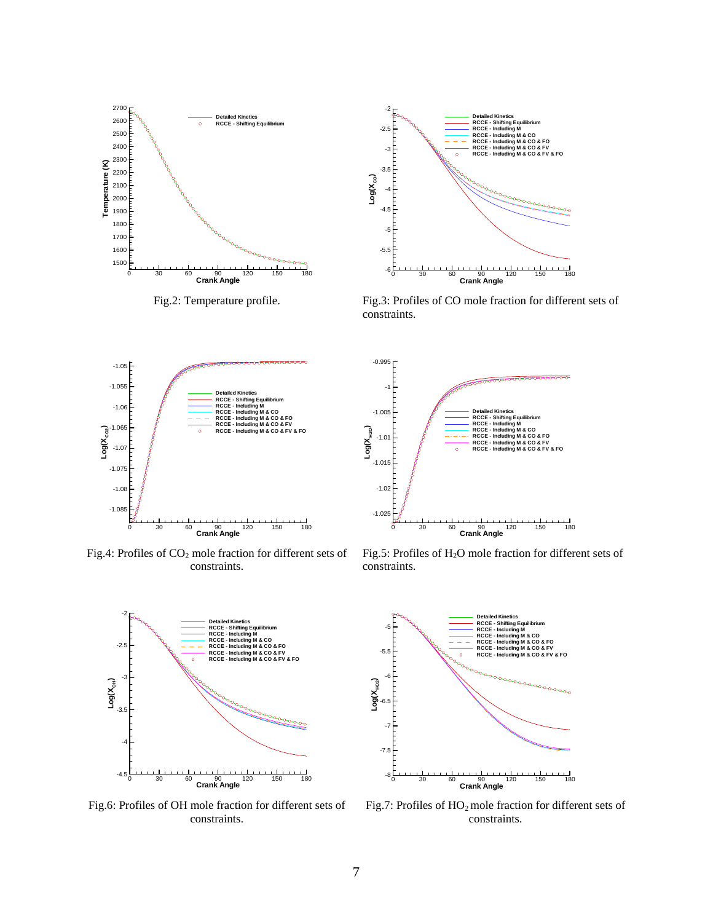



Fig.2: Temperature profile. Fig.3: Profiles of CO mole fraction for different sets of constraints.



Fig.4: Profiles of  $CO<sub>2</sub>$  mole fraction for different sets of constraints.



Fig.6: Profiles of OH mole fraction for different sets of constraints.



Fig.5: Profiles of H<sub>2</sub>O mole fraction for different sets of constraints.



Fig.7: Profiles of  $HO_2$  mole fraction for different sets of constraints.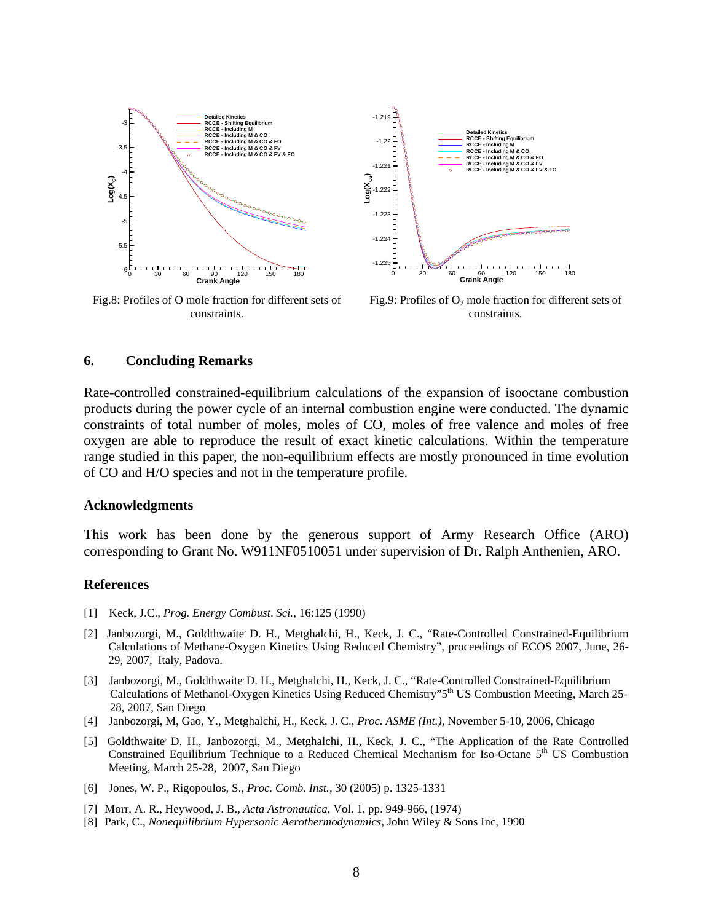

Fig.8: Profiles of O mole fraction for different sets of constraints.



Fig.9: Profiles of  $O_2$  mole fraction for different sets of constraints.

## **6. Concluding Remarks**

Rate-controlled constrained-equilibrium calculations of the expansion of isooctane combustion products during the power cycle of an internal combustion engine were conducted. The dynamic constraints of total number of moles, moles of CO, moles of free valence and moles of free oxygen are able to reproduce the result of exact kinetic calculations. Within the temperature range studied in this paper, the non-equilibrium effects are mostly pronounced in time evolution of CO and H/O species and not in the temperature profile.

## **Acknowledgments**

This work has been done by the generous support of Army Research Office (ARO) corresponding to Grant No. W911NF0510051 under supervision of Dr. Ralph Anthenien, ARO.

## **References**

- [1] Keck, J.C., *Prog. Energy Combust*. *Sci.*, 16:125 (1990)
- [2] Janbozorgi, M., Goldthwaite<sup>,</sup> D. H., Metghalchi, H., Keck, J. C., "Rate-Controlled Constrained-Equilibrium Calculations of Methane-Oxygen Kinetics Using Reduced Chemistry", proceedings of ECOS 2007, June, 26- 29, 2007, Italy, Padova.
- [3] Janbozorgi, M., Goldthwaite<sup>, D.</sup> H., Metghalchi, H., Keck, J. C., "Rate-Controlled Constrained-Equilibrium Calculations of Methanol-Oxygen Kinetics Using Reduced Chemistry"5th US Combustion Meeting, March 25- 28, 2007, San Diego
- [4]Janbozorgi, M, Gao, Y., Metghalchi, H., Keck, J. C., *Proc. ASME (Int.)*, November 5-10, 2006, Chicago
- [5] Goldthwaite<sup>,</sup> D. H., Janbozorgi, M., Metghalchi, H., Keck, J. C., "The Application of the Rate Controlled Constrained Equilibrium Technique to a Reduced Chemical Mechanism for Iso-Octane 5<sup>th</sup> US Combustion Meeting, March 25-28, 2007, San Diego
- [6] Jones, W. P., Rigopoulos, S., *Proc. Comb. Inst.*, 30 (2005) p. 1325-1331
- [7] Morr, A. R., Heywood, J. B., *Acta Astronautica*, Vol. 1, pp. 949-966, (1974)
- [8] Park, C., *Nonequilibrium Hypersonic Aerothermodynamics,* John Wiley & Sons Inc, 1990